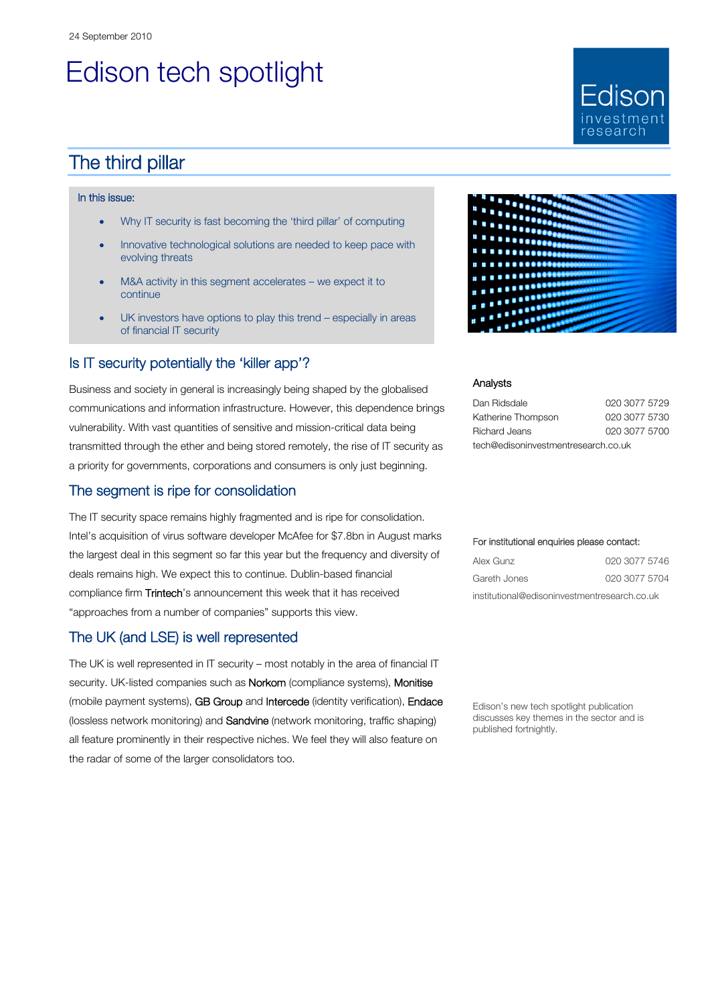# Edison tech spotlight

## The third pillar

#### In this issue:

- Why IT security is fast becoming the 'third pillar' of computing
- Innovative technological solutions are needed to keep pace with evolving threats
- M&A activity in this segment accelerates we expect it to continue
- UK investors have options to play this trend especially in areas of financial IT security

### Is IT security potentially the 'killer app'?

Business and society in general is increasingly being shaped by the globalised communications and information infrastructure. However, this dependence brings vulnerability. With vast quantities of sensitive and mission-critical data being transmitted through the ether and being stored remotely, the rise of IT security as a priority for governments, corporations and consumers is only just beginning.

#### The segment is ripe for consolidation

The IT security space remains highly fragmented and is ripe for consolidation. Intel's acquisition of virus software developer McAfee for \$7.8bn in August marks the largest deal in this segment so far this year but the frequency and diversity of deals remains high. We expect this to continue. Dublin-based financial compliance firm Trintech's announcement this week that it has received "approaches from a number of companies" supports this view.

#### The UK (and LSE) is well represented

The UK is well represented in IT security – most notably in the area of financial IT security. UK-listed companies such as **Norkom** (compliance systems), Monitise (mobile payment systems), GB Group and Intercede (identity verification), Endace (lossless network monitoring) and Sandvine (network monitoring, traffic shaping) all feature prominently in their respective niches. We feel they will also feature on the radar of some of the larger consolidators too.



Fdison

esearc

#### Analysts

| Dan Ridsdale                        | 020 3077 5729 |  |  |  |
|-------------------------------------|---------------|--|--|--|
| Katherine Thompson                  | 020 3077 5730 |  |  |  |
| Richard Jeans                       | 020 3077 5700 |  |  |  |
| tech@edisoninvestmentresearch.co.uk |               |  |  |  |

#### For institutional enquiries please contact:

| Alex Gunz                                    | 020 3077 5746 |  |  |  |
|----------------------------------------------|---------------|--|--|--|
| Gareth Jones                                 | 020 3077 5704 |  |  |  |
| institutional@edisoninvestmentresearch.co.uk |               |  |  |  |

Edison's new tech spotlight publication discusses key themes in the sector and is published fortnightly.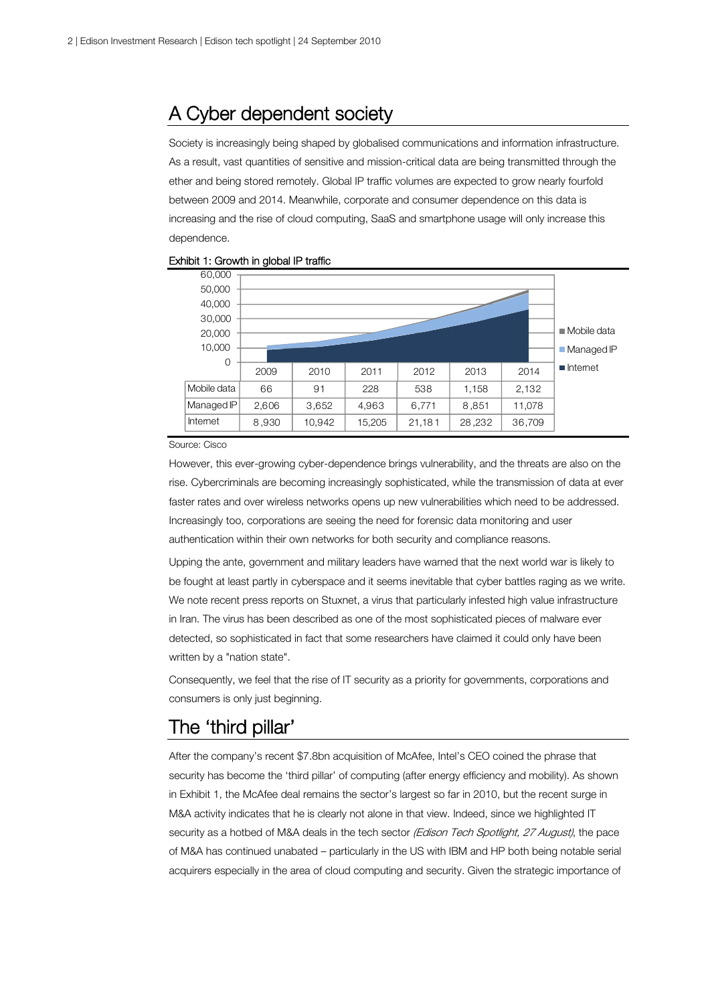## A Cyber dependent society

Society is increasingly being shaped by globalised communications and information infrastructure. As a result, vast quantities of sensitive and mission-critical data are being transmitted through the ether and being stored remotely. Global IP traffic volumes are expected to grow nearly fourfold between 2009 and 2014. Meanwhile, corporate and consumer dependence on this data is increasing and the rise of cloud computing, SaaS and smartphone usage will only increase this dependence.



#### Exhibit 1: Growth in global IP traffic

#### Source: Cisco

However, this ever-growing cyber-dependence brings vulnerability, and the threats are also on the rise. Cybercriminals are becoming increasingly sophisticated, while the transmission of data at ever faster rates and over wireless networks opens up new vulnerabilities which need to be addressed. Increasingly too, corporations are seeing the need for forensic data monitoring and user authentication within their own networks for both security and compliance reasons.

Upping the ante, government and military leaders have warned that the next world war is likely to be fought at least partly in cyberspace and it seems inevitable that cyber battles raging as we write. We note recent press reports on Stuxnet, a virus that particularly infested high value infrastructure in Iran. The virus has been described as one of the most sophisticated pieces of malware ever detected, so sophisticated in fact that some researchers have claimed it could only have been written by a "nation state".

Consequently, we feel that the rise of IT security as a priority for governments, corporations and consumers is only just beginning.

## The 'third pillar'

After the company's recent \$7.8bn acquisition of McAfee, Intel's CEO coined the phrase that security has become the 'third pillar' of computing (after energy efficiency and mobility). As shown in Exhibit 1, the McAfee deal remains the sector's largest so far in 2010, but the recent surge in M&A activity indicates that he is clearly not alone in that view. Indeed, since we highlighted IT security as a hotbed of M&A deals in the tech sector (Edison Tech Spotlight, 27 August), the pace of M&A has continued unabated – particularly in the US with IBM and HP both being notable serial acquirers especially in the area of cloud computing and security. Given the strategic importance of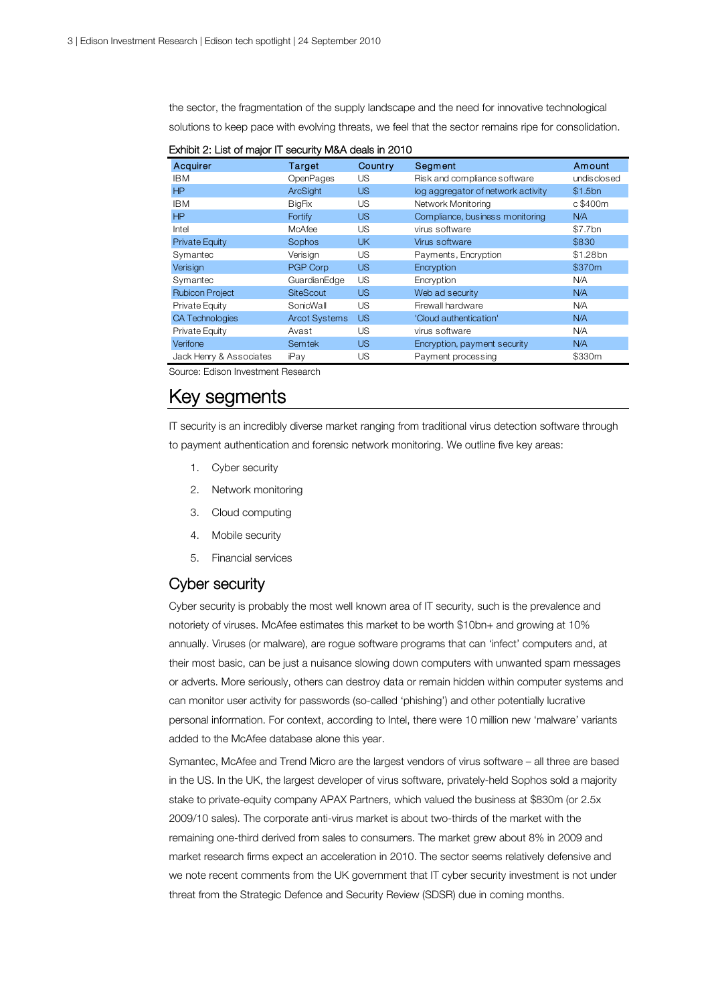the sector, the fragmentation of the supply landscape and the need for innovative technological solutions to keep pace with evolving threats, we feel that the sector remains ripe for consolidation.

|  | Exhibit 2: List of major IT security M&A deals in 2010 |  |  |  |  |  |  |
|--|--------------------------------------------------------|--|--|--|--|--|--|
|--|--------------------------------------------------------|--|--|--|--|--|--|

| Acquirer                | Target               | Country   | Segment                            | Amount      |
|-------------------------|----------------------|-----------|------------------------------------|-------------|
| <b>IBM</b>              | OpenPages            | US        | Risk and compliance software       | undisclosed |
| HP                      | ArcSight             | <b>US</b> | log aggregator of network activity | \$1.5bn     |
| <b>IBM</b>              | <b>BigFix</b>        | US        | Network Monitoring                 | c \$400m    |
| HP                      | Fortify              | <b>US</b> | Compliance, business monitoring    | N/A         |
| Intel                   | <b>McAfee</b>        | US        | virus software                     | \$7.7bn     |
| <b>Private Equity</b>   | Sophos               | <b>UK</b> | Virus software                     | \$830       |
| Symantec                | Verisign             | US        | Payments, Encryption               | \$1.28bn    |
| Verisign                | PGP Corp             | <b>US</b> | Encryption                         | \$370m      |
| Symantec                | GuardianEdge         | US        | Encryption                         | N/A         |
| <b>Rubicon Project</b>  | <b>SiteScout</b>     | <b>US</b> | Web ad security                    | N/A         |
| Private Equity          | SonicWall            | US        | Firewall hardware                  | N/A         |
| <b>CA Technologies</b>  | <b>Arcot Systems</b> | <b>US</b> | 'Cloud authentication'             | N/A         |
| Private Equity          | Avast                | US        | virus software                     | N/A         |
| Verifone                | <b>Semtek</b>        | <b>US</b> | Encryption, payment security       | N/A         |
| Jack Henry & Associates | iPay                 | US        | Payment processing                 | \$330m      |

Source: Edison Investment Research

## Key segments

IT security is an incredibly diverse market ranging from traditional virus detection software through to payment authentication and forensic network monitoring. We outline five key areas:

- 1. Cyber security
- 2. Network monitoring
- 3. Cloud computing
- 4. Mobile security
- 5. Financial services

#### Cyber security

Cyber security is probably the most well known area of IT security, such is the prevalence and notoriety of viruses. McAfee estimates this market to be worth \$10bn+ and growing at 10% annually. Viruses (or malware), are rogue software programs that can 'infect' computers and, at their most basic, can be just a nuisance slowing down computers with unwanted spam messages or adverts. More seriously, others can destroy data or remain hidden within computer systems and can monitor user activity for passwords (so-called 'phishing') and other potentially lucrative personal information. For context, according to Intel, there were 10 million new 'malware' variants added to the McAfee database alone this year.

Symantec, McAfee and Trend Micro are the largest vendors of virus software – all three are based in the US. In the UK, the largest developer of virus software, privately-held Sophos sold a majority stake to private-equity company APAX Partners, which valued the business at \$830m (or 2.5x 2009/10 sales). The corporate anti-virus market is about two-thirds of the market with the remaining one-third derived from sales to consumers. The market grew about 8% in 2009 and market research firms expect an acceleration in 2010. The sector seems relatively defensive and we note recent comments from the UK government that IT cyber security investment is not under threat from the Strategic Defence and Security Review (SDSR) due in coming months.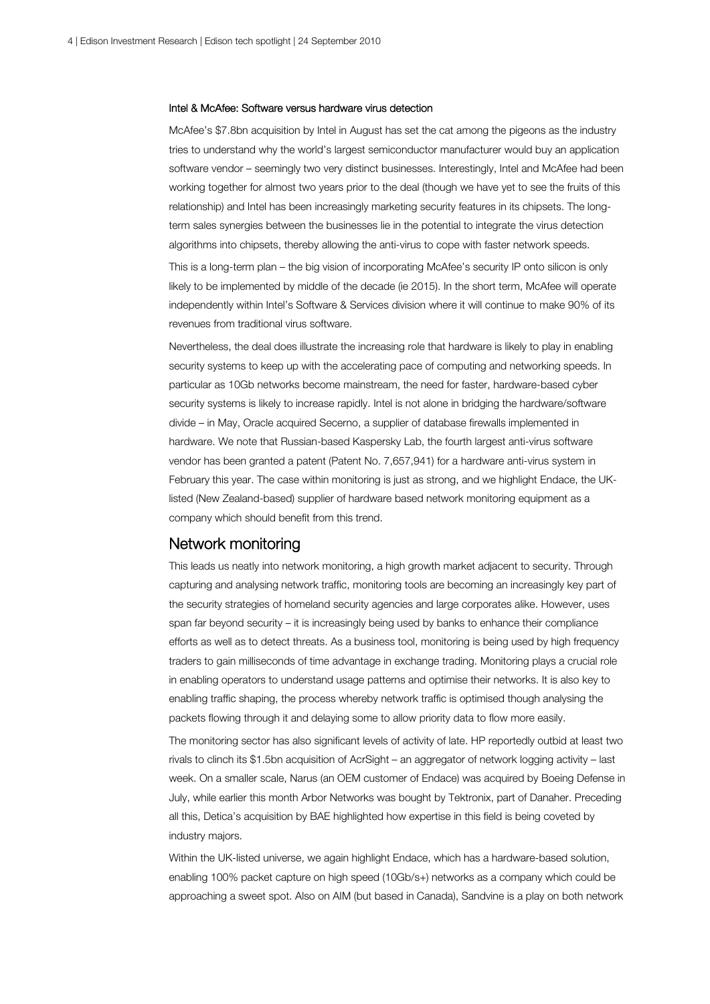#### Intel & McAfee: Software versus hardware virus detection

McAfee's \$7.8bn acquisition by Intel in August has set the cat among the pigeons as the industry tries to understand why the world's largest semiconductor manufacturer would buy an application software vendor – seemingly two very distinct businesses. Interestingly, Intel and McAfee had been working together for almost two years prior to the deal (though we have yet to see the fruits of this relationship) and Intel has been increasingly marketing security features in its chipsets. The longterm sales synergies between the businesses lie in the potential to integrate the virus detection algorithms into chipsets, thereby allowing the anti-virus to cope with faster network speeds.

This is a long-term plan – the big vision of incorporating McAfee's security IP onto silicon is only likely to be implemented by middle of the decade (ie 2015). In the short term, McAfee will operate independently within Intel's Software & Services division where it will continue to make 90% of its revenues from traditional virus software.

Nevertheless, the deal does illustrate the increasing role that hardware is likely to play in enabling security systems to keep up with the accelerating pace of computing and networking speeds. In particular as 10Gb networks become mainstream, the need for faster, hardware-based cyber security systems is likely to increase rapidly. Intel is not alone in bridging the hardware/software divide – in May, Oracle acquired Secerno, a supplier of database firewalls implemented in hardware. We note that Russian-based Kaspersky Lab, the fourth largest anti-virus software vendor has been granted a patent (Patent No. 7,657,941) for a hardware anti-virus system in February this year. The case within monitoring is just as strong, and we highlight Endace, the UKlisted (New Zealand-based) supplier of hardware based network monitoring equipment as a company which should benefit from this trend.

### Network monitoring

This leads us neatly into network monitoring, a high growth market adjacent to security. Through capturing and analysing network traffic, monitoring tools are becoming an increasingly key part of the security strategies of homeland security agencies and large corporates alike. However, uses span far beyond security – it is increasingly being used by banks to enhance their compliance efforts as well as to detect threats. As a business tool, monitoring is being used by high frequency traders to gain milliseconds of time advantage in exchange trading. Monitoring plays a crucial role in enabling operators to understand usage patterns and optimise their networks. It is also key to enabling traffic shaping, the process whereby network traffic is optimised though analysing the packets flowing through it and delaying some to allow priority data to flow more easily.

The monitoring sector has also significant levels of activity of late. HP reportedly outbid at least two rivals to clinch its \$1.5bn acquisition of AcrSight – an aggregator of network logging activity – last week. On a smaller scale, Narus (an OEM customer of Endace) was acquired by Boeing Defense in July, while earlier this month Arbor Networks was bought by Tektronix, part of Danaher. Preceding all this, Detica's acquisition by BAE highlighted how expertise in this field is being coveted by industry majors.

Within the UK-listed universe, we again highlight Endace, which has a hardware-based solution, enabling 100% packet capture on high speed (10Gb/s+) networks as a company which could be approaching a sweet spot. Also on AIM (but based in Canada), Sandvine is a play on both network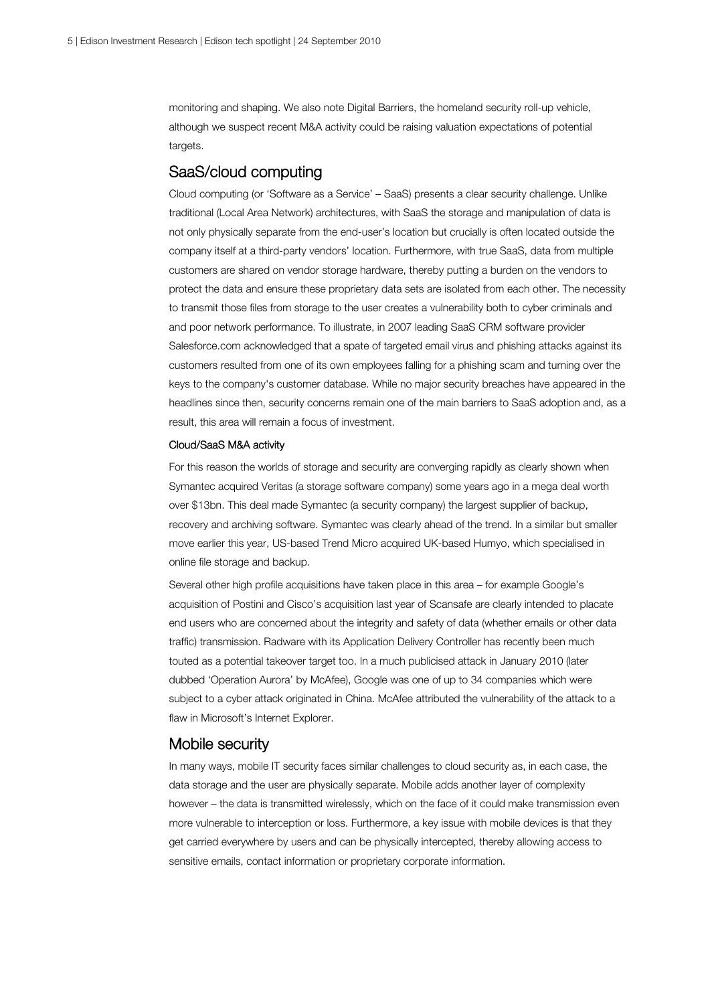monitoring and shaping. We also note Digital Barriers, the homeland security roll-up vehicle, although we suspect recent M&A activity could be raising valuation expectations of potential targets.

### SaaS/cloud computing

Cloud computing (or 'Software as a Service' – SaaS) presents a clear security challenge. Unlike traditional (Local Area Network) architectures, with SaaS the storage and manipulation of data is not only physically separate from the end-user's location but crucially is often located outside the company itself at a third-party vendors' location. Furthermore, with true SaaS, data from multiple customers are shared on vendor storage hardware, thereby putting a burden on the vendors to protect the data and ensure these proprietary data sets are isolated from each other. The necessity to transmit those files from storage to the user creates a vulnerability both to cyber criminals and and poor network performance. To illustrate, in 2007 leading SaaS CRM software provider Salesforce.com acknowledged that a spate of targeted email virus and phishing attacks against its customers resulted from one of its own employees falling for a phishing scam and turning over the keys to the company's customer database. While no major security breaches have appeared in the headlines since then, security concerns remain one of the main barriers to SaaS adoption and, as a result, this area will remain a focus of investment.

#### Cloud/SaaS M&A activity

For this reason the worlds of storage and security are converging rapidly as clearly shown when Symantec acquired Veritas (a storage software company) some years ago in a mega deal worth over \$13bn. This deal made Symantec (a security company) the largest supplier of backup, recovery and archiving software. Symantec was clearly ahead of the trend. In a similar but smaller move earlier this year, US-based Trend Micro acquired UK-based Humyo, which specialised in online file storage and backup.

Several other high profile acquisitions have taken place in this area – for example Google's acquisition of Postini and Cisco's acquisition last year of Scansafe are clearly intended to placate end users who are concerned about the integrity and safety of data (whether emails or other data traffic) transmission. Radware with its Application Delivery Controller has recently been much touted as a potential takeover target too. In a much publicised attack in January 2010 (later dubbed 'Operation Aurora' by McAfee), Google was one of up to 34 companies which were subject to a cyber attack originated in China. McAfee attributed the vulnerability of the attack to a flaw in Microsoft's Internet Explorer.

#### Mobile security

In many ways, mobile IT security faces similar challenges to cloud security as, in each case, the data storage and the user are physically separate. Mobile adds another layer of complexity however – the data is transmitted wirelessly, which on the face of it could make transmission even more vulnerable to interception or loss. Furthermore, a key issue with mobile devices is that they get carried everywhere by users and can be physically intercepted, thereby allowing access to sensitive emails, contact information or proprietary corporate information.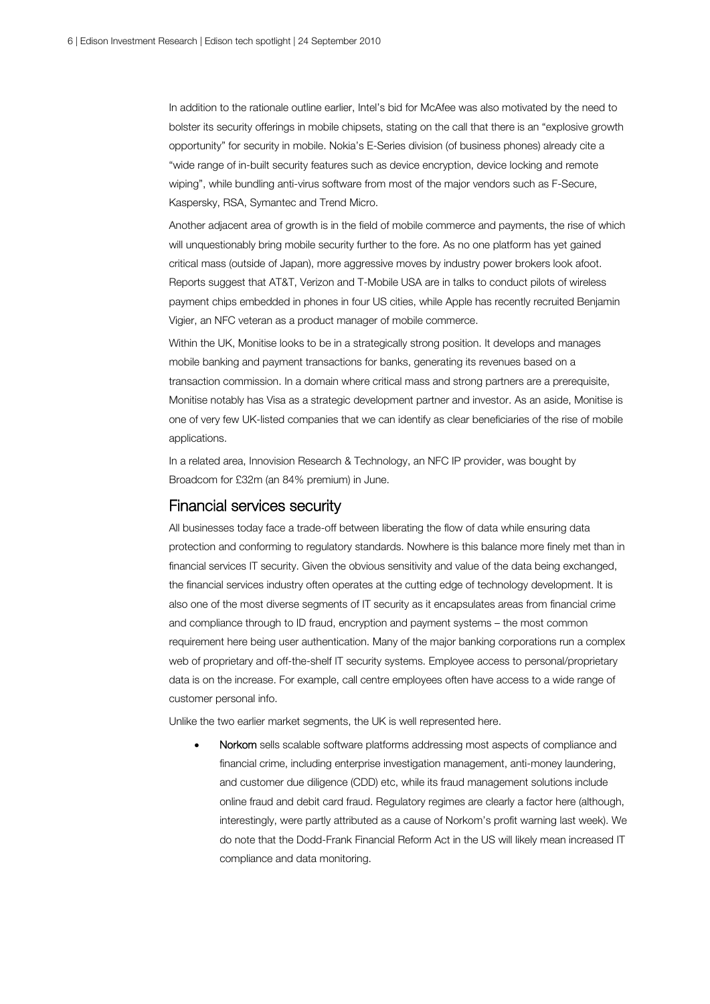In addition to the rationale outline earlier, Intel's bid for McAfee was also motivated by the need to bolster its security offerings in mobile chipsets, stating on the call that there is an "explosive growth opportunity" for security in mobile. Nokia's E-Series division (of business phones) already cite a "wide range of in-built security features such as device encryption, device locking and remote wiping", while bundling anti-virus software from most of the major vendors such as F-Secure, Kaspersky, RSA, Symantec and Trend Micro.

Another adjacent area of growth is in the field of mobile commerce and payments, the rise of which will unquestionably bring mobile security further to the fore. As no one platform has yet gained critical mass (outside of Japan), more aggressive moves by industry power brokers look afoot. Reports suggest that AT&T, Verizon and T-Mobile USA are in talks to conduct pilots of wireless payment chips embedded in phones in four US cities, while Apple has recently recruited Benjamin Vigier, an NFC veteran as a product manager of mobile commerce.

Within the UK, Monitise looks to be in a strategically strong position. It develops and manages mobile banking and payment transactions for banks, generating its revenues based on a transaction commission. In a domain where critical mass and strong partners are a prerequisite, Monitise notably has Visa as a strategic development partner and investor. As an aside, Monitise is one of very few UK-listed companies that we can identify as clear beneficiaries of the rise of mobile applications.

In a related area, Innovision Research & Technology, an NFC IP provider, was bought by Broadcom for £32m (an 84% premium) in June.

#### Financial services security

All businesses today face a trade-off between liberating the flow of data while ensuring data protection and conforming to regulatory standards. Nowhere is this balance more finely met than in financial services IT security. Given the obvious sensitivity and value of the data being exchanged, the financial services industry often operates at the cutting edge of technology development. It is also one of the most diverse segments of IT security as it encapsulates areas from financial crime and compliance through to ID fraud, encryption and payment systems – the most common requirement here being user authentication. Many of the major banking corporations run a complex web of proprietary and off-the-shelf IT security systems. Employee access to personal/proprietary data is on the increase. For example, call centre employees often have access to a wide range of customer personal info.

Unlike the two earlier market segments, the UK is well represented here.

 Norkom sells scalable software platforms addressing most aspects of compliance and financial crime, including enterprise investigation management, anti-money laundering, and customer due diligence (CDD) etc, while its fraud management solutions include online fraud and debit card fraud. Regulatory regimes are clearly a factor here (although, interestingly, were partly attributed as a cause of Norkom's profit warning last week). We do note that the Dodd-Frank Financial Reform Act in the US will likely mean increased IT compliance and data monitoring.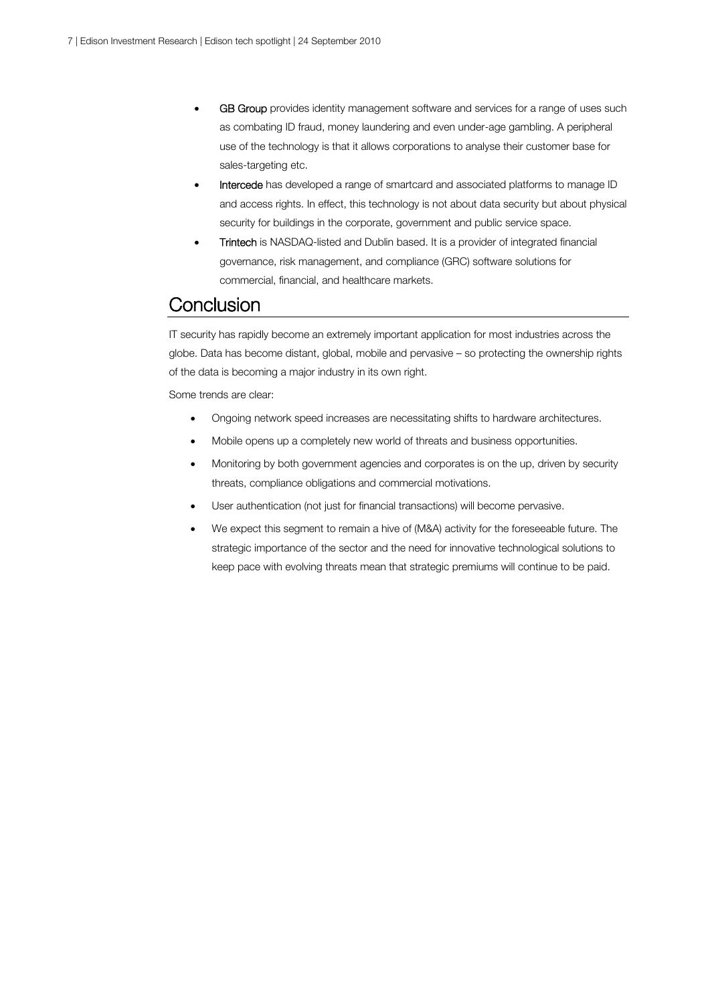- GB Group provides identity management software and services for a range of uses such as combating ID fraud, money laundering and even under-age gambling. A peripheral use of the technology is that it allows corporations to analyse their customer base for sales-targeting etc.
- Intercede has developed a range of smartcard and associated platforms to manage ID and access rights. In effect, this technology is not about data security but about physical security for buildings in the corporate, government and public service space.
- Trintech is NASDAQ-listed and Dublin based. It is a provider of integrated financial governance, risk management, and compliance (GRC) software solutions for commercial, financial, and healthcare markets.

## **Conclusion**

IT security has rapidly become an extremely important application for most industries across the globe. Data has become distant, global, mobile and pervasive – so protecting the ownership rights of the data is becoming a major industry in its own right.

Some trends are clear:

- Ongoing network speed increases are necessitating shifts to hardware architectures.
- Mobile opens up a completely new world of threats and business opportunities.
- Monitoring by both government agencies and corporates is on the up, driven by security threats, compliance obligations and commercial motivations.
- User authentication (not just for financial transactions) will become pervasive.
- We expect this segment to remain a hive of (M&A) activity for the foreseeable future. The strategic importance of the sector and the need for innovative technological solutions to keep pace with evolving threats mean that strategic premiums will continue to be paid.